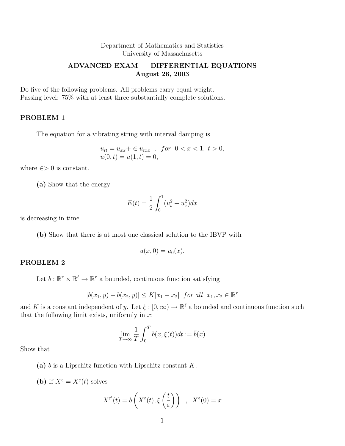# Department of Mathematics and Statistics University of Massachusetts

# ADVANCED EXAM — DIFFERENTIAL EQUATIONS August 26, 2003

Do five of the following problems. All problems carry equal weight. Passing level: 75% with at least three substantially complete solutions.

# PROBLEM 1

The equation for a vibrating string with interval damping is

$$
u_{tt} = u_{xx} + \in u_{txx} \text{ , for } 0 < x < 1, t > 0, \\ u(0, t) = u(1, t) = 0,
$$

where  $\epsilon$  > 0 is constant.

(a) Show that the energy

$$
E(t) = \frac{1}{2} \int_0^1 (u_t^2 + u_x^2) dx
$$

is decreasing in time.

(b) Show that there is at most one classical solution to the IBVP with

$$
u(x,0) = u_0(x).
$$

### PROBLEM 2

Let  $b: \mathbb{R}^r \times \mathbb{R}^{\ell} \to \mathbb{R}^r$  a bounded, continuous function satisfying

$$
|b(x_1, y) - b(x_2, y)| \le K|x_1 - x_2| \text{ for all } x_1, x_2 \in \mathbb{R}^r
$$

and K is a constant independent of y. Let  $\xi : [0, \infty) \to \mathbb{R}^{\ell}$  a bounded and continuous function such that the following limit exists, uniformly in  $x$ :

$$
\lim_{T \to \infty} \frac{1}{T} \int_0^T b(x, \xi(t)) dt := \overline{b}(x)
$$

Show that

(a)  $\bar{b}$  is a Lipschitz function with Lipschitz constant K.

(b) If  $X^{\varepsilon} = X^{\varepsilon}(t)$  solves

$$
X^{\varepsilon'}(t) = b\left(X^{\varepsilon}(t), \xi\left(\frac{t}{\varepsilon}\right)\right) , \quad X^{\varepsilon}(0) = x
$$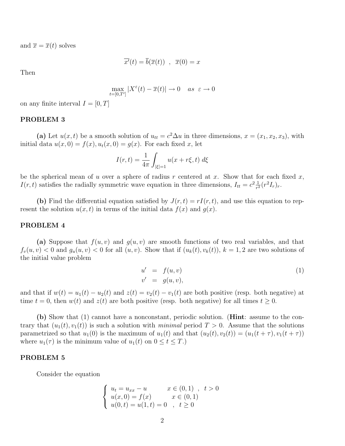and  $\overline{x} = \overline{x}(t)$  solves

$$
\overline{x'}(t) = \overline{b}(\overline{x}(t)), \ \ \overline{x}(0) = x
$$

Then

$$
\max_{t=[0,T']}|X^{\varepsilon}(t)-\overline{x}(t)|\to 0 \quad as \ \varepsilon\to 0
$$

on any finite interval  $I = [0, T]$ 

## PROBLEM 3

(a) Let  $u(x, t)$  be a smooth solution of  $u_{tt} = c^2 \Delta u$  in three dimensions,  $x = (x_1, x_2, x_3)$ , with initial data  $u(x, 0) = f(x), u_t(x, 0) = g(x)$ . For each fixed x, let

$$
I(r,t) = \frac{1}{4\pi} \int_{|\xi|=1} u(x+r\xi, t) \, d\xi
$$

be the spherical mean of u over a sphere of radius r centered at x. Show that for each fixed  $x$ ,  $I(r,t)$  satisfies the radially symmetric wave equation in three dimensions,  $I_{tt} = c^2 \frac{1}{r^2}$  $\frac{1}{r^2}(r^2I_r)_r.$ 

(b) Find the differential equation satisfied by  $J(r, t) = rI(r, t)$ , and use this equation to represent the solution  $u(x, t)$  in terms of the initial data  $f(x)$  and  $q(x)$ .

#### PROBLEM 4

(a) Suppose that  $f(u, v)$  and  $g(u, v)$  are smooth functions of two real variables, and that  $f_v(u, v) < 0$  and  $g_u(u, v) < 0$  for all  $(u, v)$ . Show that if  $(u_k(t), v_k(t))$ ,  $k = 1, 2$  are two solutions of the initial value problem

$$
u' = f(u, v)
$$
  
\n
$$
v' = g(u, v),
$$
\n(1)

and that if  $w(t) = u_1(t) - u_2(t)$  and  $z(t) = v_2(t) - v_1(t)$  are both positive (resp. both negative) at time  $t = 0$ , then  $w(t)$  and  $z(t)$  are both positive (resp. both negative) for all times  $t \geq 0$ .

(b) Show that (1) cannot have a nonconstant, periodic solution. (Hint: assume to the contrary that  $(u_1(t), v_1(t))$  is such a solution with minimal period  $T > 0$ . Assume that the solutions parametrized so that  $u_1(0)$  is the maximum of  $u_1(t)$  and that  $(u_2(t), v_2(t)) = (u_1(t + \tau), v_1(t + \tau))$ where  $u_1(\tau)$  is the minimum value of  $u_1(t)$  on  $0 \le t \le T$ .)

#### PROBLEM 5

Consider the equation

$$
\begin{cases}\n u_t = u_{xx} - u & x \in (0,1) , t > 0 \\
u(x,0) = f(x) & x \in (0,1) \\
u(0,t) = u(1,t) = 0 , t \ge 0\n\end{cases}
$$